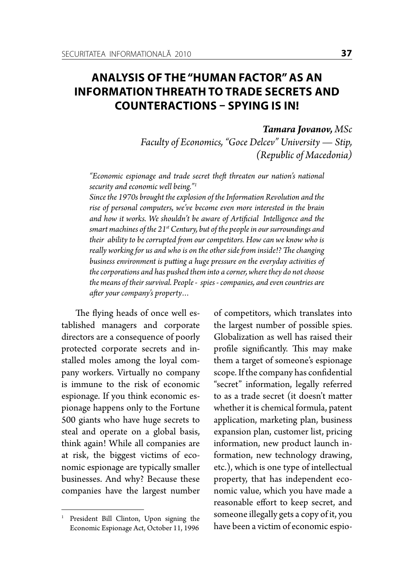## **ANALYSIS OF THE "HUMAN FACTOR" AS AN INFORMATION THREATH TO TRADE SECRETS AND COUNTERACTIONS – SPYING IS IN!**

## *Tamara Jovanov, MSc*

*Faculty of Economics, "Goce Delcev" University — Stip, (Republic of Macedonia)*

*"Economic espionage and trade secret theft threaten our nation's national security and economic well being."1*

*Since the 1970s brought the explosion of the Information Revolution and the rise of personal computers, we've become even more interested in the brain and how it works. We shouldn't be aware of Artificial Intelligence and the smart machines of the 21st Century, but of the people in our surroundings and their ability to be corrupted from our competitors. How can we know who is really working for us and who is on the other side from inside!? The changing business environment is putting a huge pressure on the everyday activities of the corporations and has pushed them into a corner, where they do not choose the means of their survival. People - spies - companies, and even countries are after your company's property…*

The flying heads of once well established managers and corporate directors are a consequence of poorly protected corporate secrets and installed moles among the loyal company workers. Virtually no company is immune to the risk of economic espionage. If you think economic espionage happens only to the Fortune 500 giants who have huge secrets to steal and operate on a global basis, think again! While all companies are at risk, the biggest victims of economic espionage are typically smaller businesses. And why? Because these companies have the largest number of competitors, which translates into the largest number of possible spies. Globalization as well has raised their profile significantly. This may make them a target of someone's espionage scope. If the company has confidential "secret" information, legally referred to as a trade secret (it doesn't matter whether it is chemical formula, patent application, marketing plan, business expansion plan, customer list, pricing information, new product launch information, new technology drawing, etc.), which is one type of intellectual property, that has independent economic value, which you have made a reasonable effort to keep secret, and someone illegally gets a copy of it, you have been a victim of economic espio-

<sup>&</sup>lt;sup>1</sup> President Bill Clinton, Upon signing the Economic Espionage Act, October 11, 1996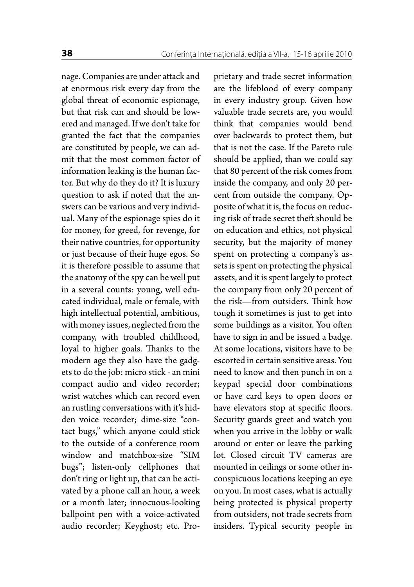nage. Companies are under attack and at enormous risk every day from the global threat of economic espionage, but that risk can and should be lowered and managed. If we don't take for granted the fact that the companies are constituted by people, we can admit that the most common factor of information leaking is the human factor. But why do they do it? It is luxury question to ask if noted that the answers can be various and very individual. Many of the espionage spies do it for money, for greed, for revenge, for their native countries, for opportunity or just because of their huge egos. So it is therefore possible to assume that the anatomy of the spy can be well put in a several counts: young, well educated individual, male or female, with high intellectual potential, ambitious, with money issues, neglected from the company, with troubled childhood, loyal to higher goals. Thanks to the modern age they also have the gadgets to do the job: micro stick - an mini compact audio and video recorder; wrist watches which can record even an rustling conversations with it's hidden voice recorder; dime-size "contact bugs," which anyone could stick to the outside of a conference room window and matchbox-size "SIM bugs"; listen-only cellphones that don't ring or light up, that can be activated by a phone call an hour, a week or a month later; innocuous-looking ballpoint pen with a voice-activated audio recorder; Keyghost; etc. Proprietary and trade secret information are the lifeblood of every company in every industry group. Given how valuable trade secrets are, you would think that companies would bend over backwards to protect them, but that is not the case. If the Pareto rule should be applied, than we could say that 80 percent of the risk comes from inside the company, and only 20 percent from outside the company. Opposite of what it is, the focus on reducing risk of trade secret theft should be on education and ethics, not physical security, but the majority of money spent on protecting a company's assets is spent on protecting the physical assets, and it is spent largely to protect the company from only 20 percent of the risk—from outsiders. Think how tough it sometimes is just to get into some buildings as a visitor. You often have to sign in and be issued a badge. At some locations, visitors have to be escorted in certain sensitive areas. You need to know and then punch in on a keypad special door combinations or have card keys to open doors or have elevators stop at specific floors. Security guards greet and watch you when you arrive in the lobby or walk around or enter or leave the parking lot. Closed circuit TV cameras are mounted in ceilings or some other inconspicuous locations keeping an eye on you. In most cases, what is actually being protected is physical property from outsiders, not trade secrets from insiders. Typical security people in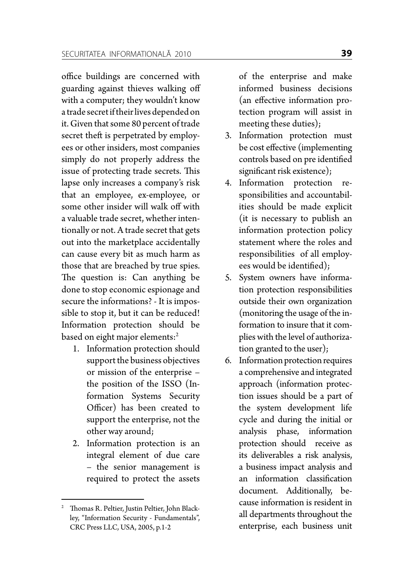office buildings are concerned with guarding against thieves walking off with a computer; they wouldn't know a trade secret if their lives depended on it. Given that some 80 percent of trade secret theft is perpetrated by employees or other insiders, most companies simply do not properly address the issue of protecting trade secrets. This lapse only increases a company's risk that an employee, ex-employee, or some other insider will walk off with a valuable trade secret, whether intentionally or not. A trade secret that gets out into the marketplace accidentally can cause every bit as much harm as those that are breached by true spies. The question is: Can anything be done to stop economic espionage and secure the informations? - It is impossible to stop it, but it can be reduced! Information protection should be based on eight major elements:<sup>2</sup>

- 1. Information protection should support the business objectives or mission of the enterprise – the position of the ISSO (Information Systems Security Officer) has been created to support the enterprise, not the other way around;
- 2. Information protection is an integral element of due care – the senior management is required to protect the assets

of the enterprise and make informed business decisions (an effective information protection program will assist in meeting these duties);

- 3. Information protection must be cost effective (implementing controls based on pre identified significant risk existence);
- 4. Information protection responsibilities and accountabilities should be made explicit (it is necessary to publish an information protection policy statement where the roles and responsibilities of all employees would be identified);
- 5. System owners have information protection responsibilities outside their own organization (monitoring the usage of the information to insure that it complies with the level of authorization granted to the user);
- 6. Information protection requires a comprehensive and integrated approach (information protection issues should be a part of the system development life cycle and during the initial or analysis phase, information protection should receive as its deliverables a risk analysis, a business impact analysis and an information classification document. Additionally, because information is resident in all departments throughout the enterprise, each business unit

<sup>2</sup> Thomas R. Peltier, Justin Peltier, John Blackley, "Information Security - Fundamentals", CRC Press LLC, USA, 2005, p.1-2